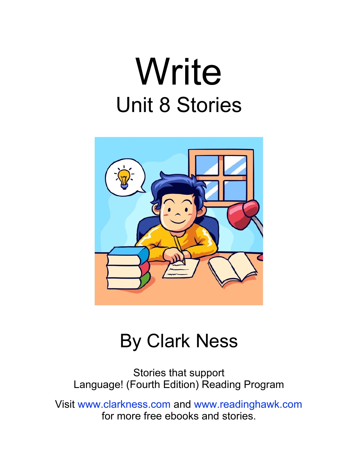## Write Unit 8 Stories



#### By Clark Ness

Stories that support Language! (Fourth Edition) Reading Program

Visit [www.clarkness.com](http://www.clarkness.com) and [www.readinghawk.com](http://www.readinghawk.com) for more free ebooks and stories.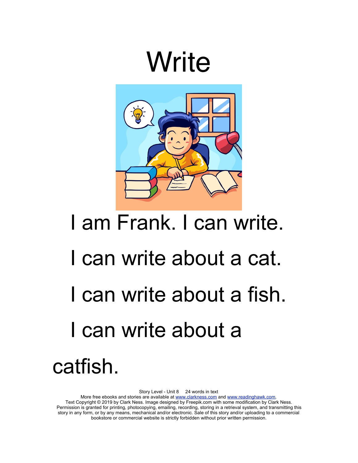### **Write**



# I am Frank. I can write. I can write about a cat. I can write about a fish. I can write about a catfish.

Story Level - Unit 8 24 words in text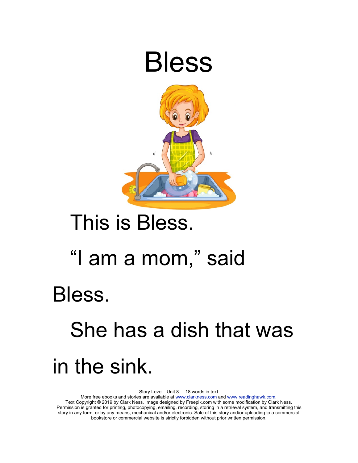

### This is Bless.

### "I am a mom," said

#### Bless.

### She has a dish that was in the sink.

Story Level - Unit 8 18 words in text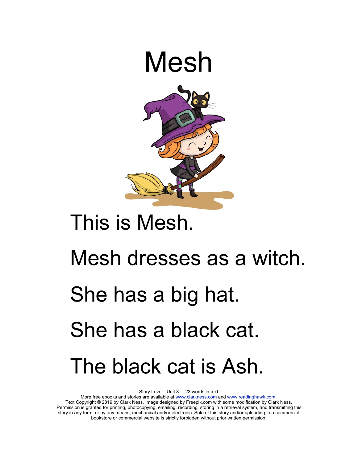

### This is Mesh.

# Mesh dresses as a witch. She has a big hat. She has a black cat. The black cat is Ash.

Story Level - Unit 8 23 words in text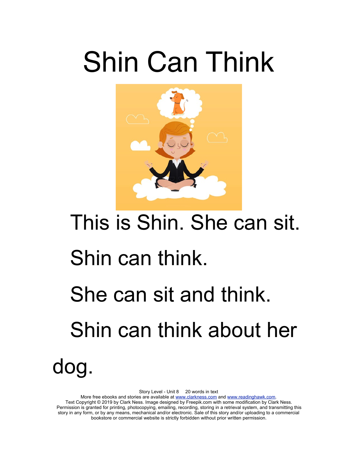# Shin Can Think



# This is Shin. She can sit. Shin can think. She can sit and think. Shin can think about her dog.

Story Level - Unit 8 20 words in text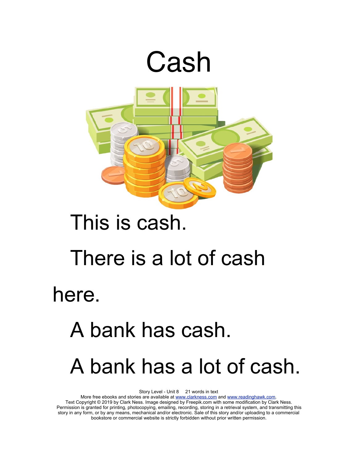

### This is cash.

#### There is a lot of cash

here.

### A bank has cash. A bank has a lot of cash.

Story Level - Unit 8 21 words in text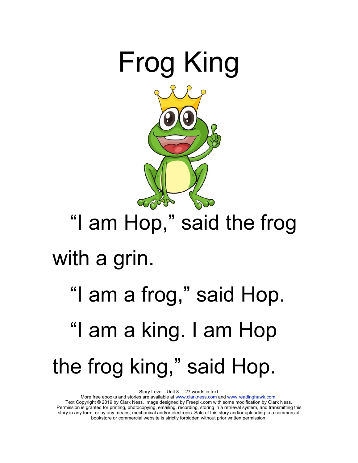

### "I am Hop," said the frog with a grin.

## "I am a frog," said Hop. "I am a king. I am Hop the frog king," said Hop.

Story Level - Unit 8 27 words in text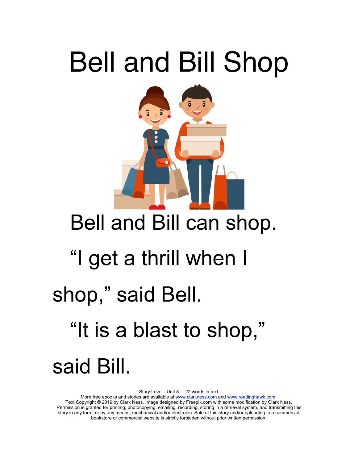## Bell and Bill Shop



### Bell and Bill can shop.

### "I get a thrill when I

### shop," said Bell.

"It is a blast to shop,"

### said Bill.

Story Level - Unit 8 22 words in text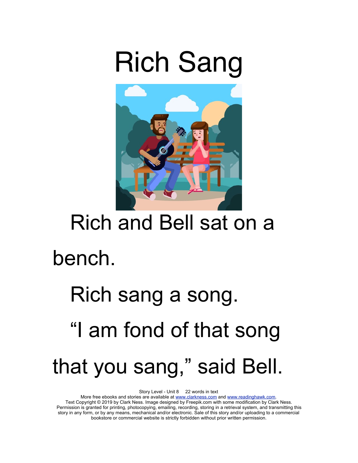### Rich Sang



### Rich and Bell sat on a

#### bench.

## Rich sang a song. "I am fond of that song that you sang," said Bell.

Story Level - Unit 8 22 words in text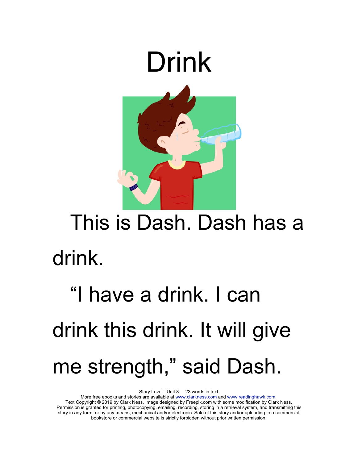

### This is Dash. Dash has a drink.

## "I have a drink. I can drink this drink. It will give me strength," said Dash.

Story Level - Unit 8 23 words in text